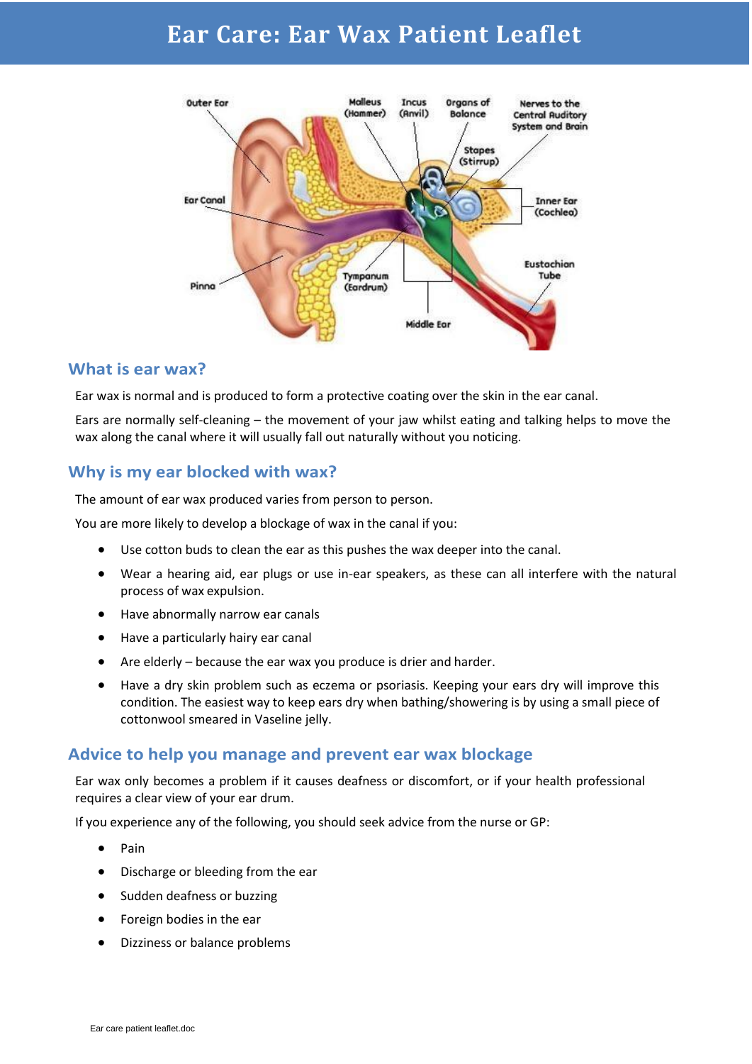# **Ear Care: Ear Wax Patient Leaflet**



#### **What is ear wax?**

Ear wax is normal and is produced to form a protective coating over the skin in the ear canal.

Ears are normally self-cleaning – the movement of your jaw whilst eating and talking helps to move the wax along the canal where it will usually fall out naturally without you noticing.

## **Why is my ear blocked with wax?**

The amount of ear wax produced varies from person to person.

You are more likely to develop a blockage of wax in the canal if you:

- Use cotton buds to clean the ear as this pushes the wax deeper into the canal.
- Wear a hearing aid, ear plugs or use in-ear speakers, as these can all interfere with the natural process of wax expulsion.
- Have abnormally narrow ear canals
- Have a particularly hairy ear canal
- Are elderly because the ear wax you produce is drier and harder.
- Have a dry skin problem such as eczema or psoriasis. Keeping your ears dry will improve this condition. The easiest way to keep ears dry when bathing/showering is by using a small piece of cottonwool smeared in Vaseline jelly.

#### **Advice to help you manage and prevent ear wax blockage**

Ear wax only becomes a problem if it causes deafness or discomfort, or if your health professional requires a clear view of your ear drum.

If you experience any of the following, you should seek advice from the nurse or GP:

- Pain
- Discharge or bleeding from the ear
- Sudden deafness or buzzing
- Foreign bodies in the ear
- Dizziness or balance problems